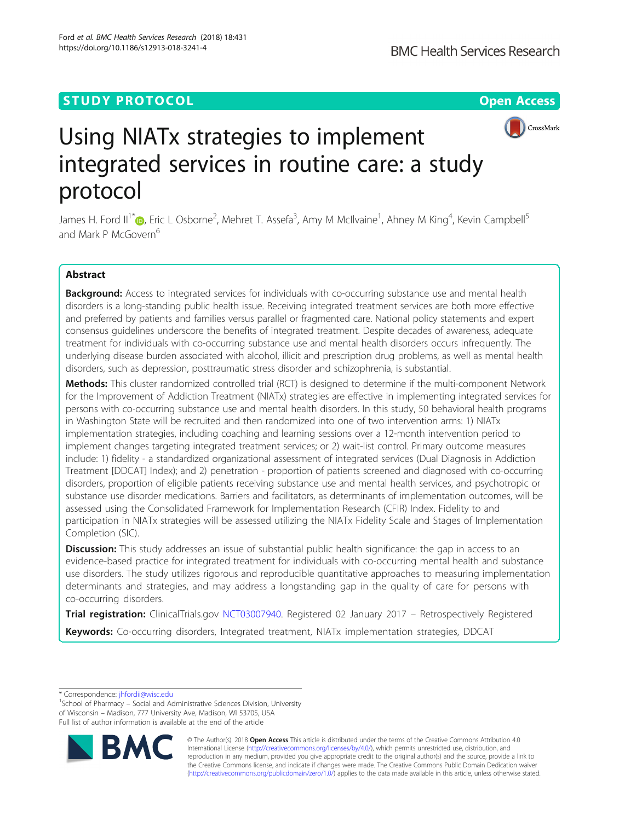# **STUDY PROTOCOL CONSUMING THE RESERVE ACCESS**



# Using NIATx strategies to implement integrated services in routine care: a study protocol

James H. Ford II<sup>1[\\*](http://orcid.org/0000-0003-3045-2414)</sup>iD, Eric L Osborne<sup>2</sup>, Mehret T. Assefa<sup>3</sup>, Amy M McIlvaine<sup>1</sup>, Ahney M King<sup>4</sup>, Kevin Campbell<sup>5</sup> and Mark P McGovern<sup>6</sup>

# Abstract

Background: Access to integrated services for individuals with co-occurring substance use and mental health disorders is a long-standing public health issue. Receiving integrated treatment services are both more effective and preferred by patients and families versus parallel or fragmented care. National policy statements and expert consensus guidelines underscore the benefits of integrated treatment. Despite decades of awareness, adequate treatment for individuals with co-occurring substance use and mental health disorders occurs infrequently. The underlying disease burden associated with alcohol, illicit and prescription drug problems, as well as mental health disorders, such as depression, posttraumatic stress disorder and schizophrenia, is substantial.

Methods: This cluster randomized controlled trial (RCT) is designed to determine if the multi-component Network for the Improvement of Addiction Treatment (NIATx) strategies are effective in implementing integrated services for persons with co-occurring substance use and mental health disorders. In this study, 50 behavioral health programs in Washington State will be recruited and then randomized into one of two intervention arms: 1) NIATx implementation strategies, including coaching and learning sessions over a 12-month intervention period to implement changes targeting integrated treatment services; or 2) wait-list control. Primary outcome measures include: 1) fidelity - a standardized organizational assessment of integrated services (Dual Diagnosis in Addiction Treatment [DDCAT] Index); and 2) penetration - proportion of patients screened and diagnosed with co-occurring disorders, proportion of eligible patients receiving substance use and mental health services, and psychotropic or substance use disorder medications. Barriers and facilitators, as determinants of implementation outcomes, will be assessed using the Consolidated Framework for Implementation Research (CFIR) Index. Fidelity to and participation in NIATx strategies will be assessed utilizing the NIATx Fidelity Scale and Stages of Implementation Completion (SIC).

**Discussion:** This study addresses an issue of substantial public health significance: the gap in access to an evidence-based practice for integrated treatment for individuals with co-occurring mental health and substance use disorders. The study utilizes rigorous and reproducible quantitative approaches to measuring implementation determinants and strategies, and may address a longstanding gap in the quality of care for persons with co-occurring disorders.

Trial registration: ClinicalTrials.gov [NCT03007940.](https://clinicaltrials.gov/ct2/show/NCT03007940) Registered 02 January 2017 - Retrospectively Registered **Keywords:** Co-occurring disorders, Integrated treatment, NIATx implementation strategies, DDCAT

\* Correspondence: [jhfordii@wisc.edu](mailto:jhfordii@wisc.edu) <sup>1</sup>

<sup>&</sup>lt;sup>1</sup>School of Pharmacy – Social and Administrative Sciences Division, University of Wisconsin – Madison, 777 University Ave, Madison, WI 53705, USA Full list of author information is available at the end of the article



© The Author(s). 2018 Open Access This article is distributed under the terms of the Creative Commons Attribution 4.0 International License [\(http://creativecommons.org/licenses/by/4.0/](http://creativecommons.org/licenses/by/4.0/)), which permits unrestricted use, distribution, and reproduction in any medium, provided you give appropriate credit to the original author(s) and the source, provide a link to the Creative Commons license, and indicate if changes were made. The Creative Commons Public Domain Dedication waiver [\(http://creativecommons.org/publicdomain/zero/1.0/](http://creativecommons.org/publicdomain/zero/1.0/)) applies to the data made available in this article, unless otherwise stated.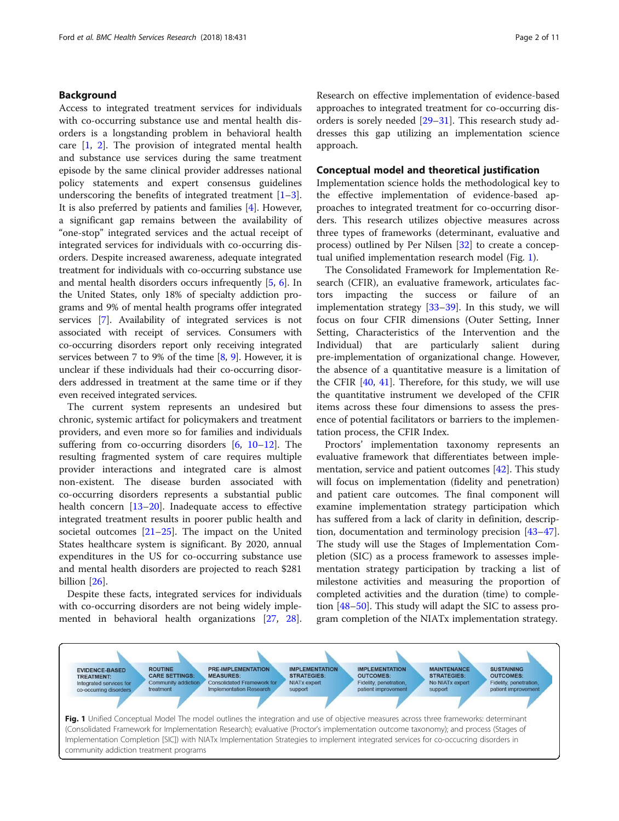# <span id="page-1-0"></span>Background

Access to integrated treatment services for individuals with co-occurring substance use and mental health disorders is a longstanding problem in behavioral health care [[1,](#page-8-0) [2\]](#page-8-0). The provision of integrated mental health and substance use services during the same treatment episode by the same clinical provider addresses national policy statements and expert consensus guidelines underscoring the benefits of integrated treatment  $[1-3]$  $[1-3]$  $[1-3]$  $[1-3]$ . It is also preferred by patients and families [\[4](#page-8-0)]. However, a significant gap remains between the availability of "one-stop" integrated services and the actual receipt of integrated services for individuals with co-occurring disorders. Despite increased awareness, adequate integrated treatment for individuals with co-occurring substance use and mental health disorders occurs infrequently [\[5](#page-8-0), [6](#page-8-0)]. In the United States, only 18% of specialty addiction programs and 9% of mental health programs offer integrated services [[7](#page-8-0)]. Availability of integrated services is not associated with receipt of services. Consumers with co-occurring disorders report only receiving integrated services between 7 to 9% of the time  $[8, 9]$  $[8, 9]$  $[8, 9]$ . However, it is unclear if these individuals had their co-occurring disorders addressed in treatment at the same time or if they even received integrated services.

The current system represents an undesired but chronic, systemic artifact for policymakers and treatment providers, and even more so for families and individuals suffering from co-occurring disorders  $[6, 10-12]$  $[6, 10-12]$  $[6, 10-12]$  $[6, 10-12]$  $[6, 10-12]$ . The resulting fragmented system of care requires multiple provider interactions and integrated care is almost non-existent. The disease burden associated with co-occurring disorders represents a substantial public health concern [[13](#page-9-0)–[20](#page-9-0)]. Inadequate access to effective integrated treatment results in poorer public health and societal outcomes [[21](#page-9-0)–[25](#page-9-0)]. The impact on the United States healthcare system is significant. By 2020, annual expenditures in the US for co-occurring substance use and mental health disorders are projected to reach \$281 billion [[26](#page-9-0)].

Despite these facts, integrated services for individuals with co-occurring disorders are not being widely implemented in behavioral health organizations [\[27](#page-9-0), [28](#page-9-0)]. Research on effective implementation of evidence-based approaches to integrated treatment for co-occurring disorders is sorely needed [[29](#page-9-0)–[31](#page-9-0)]. This research study addresses this gap utilizing an implementation science approach.

### Conceptual model and theoretical justification

Implementation science holds the methodological key to the effective implementation of evidence-based approaches to integrated treatment for co-occurring disorders. This research utilizes objective measures across three types of frameworks (determinant, evaluative and process) outlined by Per Nilsen [[32\]](#page-9-0) to create a conceptual unified implementation research model (Fig. 1).

The Consolidated Framework for Implementation Research (CFIR), an evaluative framework, articulates factors impacting the success or failure of implementation strategy  $[33-39]$  $[33-39]$  $[33-39]$  $[33-39]$  $[33-39]$ . In this study, we will focus on four CFIR dimensions (Outer Setting, Inner Setting, Characteristics of the Intervention and the Individual) that are particularly salient during pre-implementation of organizational change. However, the absence of a quantitative measure is a limitation of the CFIR  $[40, 41]$  $[40, 41]$  $[40, 41]$ . Therefore, for this study, we will use the quantitative instrument we developed of the CFIR items across these four dimensions to assess the presence of potential facilitators or barriers to the implementation process, the CFIR Index.

Proctors' implementation taxonomy represents an evaluative framework that differentiates between imple-mentation, service and patient outcomes [[42](#page-9-0)]. This study will focus on implementation (fidelity and penetration) and patient care outcomes. The final component will examine implementation strategy participation which has suffered from a lack of clarity in definition, description, documentation and terminology precision [[43](#page-9-0)–[47](#page-9-0)]. The study will use the Stages of Implementation Completion (SIC) as a process framework to assesses implementation strategy participation by tracking a list of milestone activities and measuring the proportion of completed activities and the duration (time) to completion [\[48](#page-9-0)–[50\]](#page-9-0). This study will adapt the SIC to assess program completion of the NIATx implementation strategy.

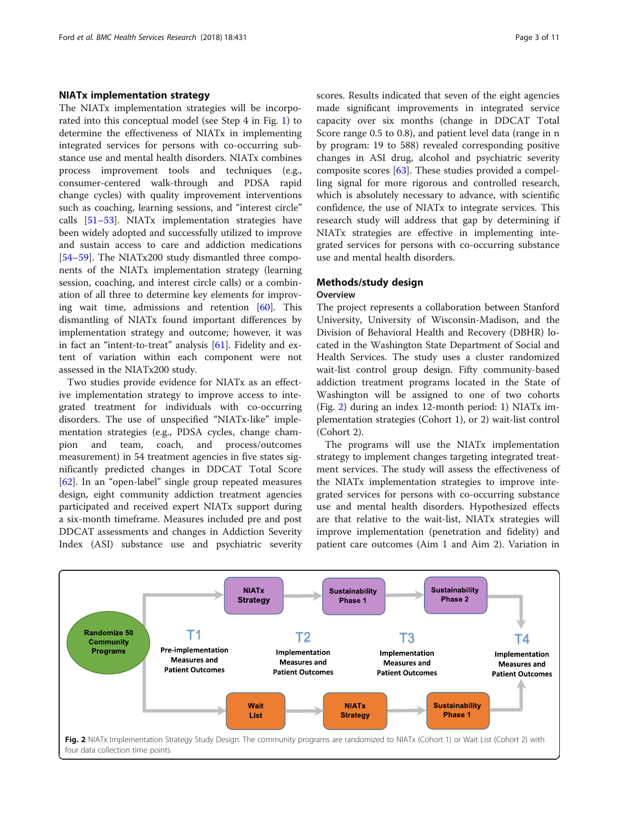# NIATx implementation strategy

The NIATx implementation strategies will be incorporated into this conceptual model (see Step 4 in Fig. [1\)](#page-1-0) to determine the effectiveness of NIATx in implementing integrated services for persons with co-occurring substance use and mental health disorders. NIATx combines process improvement tools and techniques (e.g., consumer-centered walk-through and PDSA rapid change cycles) with quality improvement interventions such as coaching, learning sessions, and "interest circle" calls [\[51](#page-9-0)–[53\]](#page-10-0). NIATx implementation strategies have been widely adopted and successfully utilized to improve and sustain access to care and addiction medications [[54](#page-10-0)–[59](#page-10-0)]. The NIATx200 study dismantled three components of the NIATx implementation strategy (learning session, coaching, and interest circle calls) or a combination of all three to determine key elements for improving wait time, admissions and retention [\[60\]](#page-10-0). This dismantling of NIATx found important differences by implementation strategy and outcome; however, it was in fact an "intent-to-treat" analysis [[61\]](#page-10-0). Fidelity and extent of variation within each component were not assessed in the NIATx200 study.

Two studies provide evidence for NIATx as an effective implementation strategy to improve access to integrated treatment for individuals with co-occurring disorders. The use of unspecified "NIATx-like" implementation strategies (e.g., PDSA cycles, change champion and team, coach, and process/outcomes measurement) in 54 treatment agencies in five states significantly predicted changes in DDCAT Total Score [[62\]](#page-10-0). In an "open-label" single group repeated measures design, eight community addiction treatment agencies participated and received expert NIATx support during a six-month timeframe. Measures included pre and post DDCAT assessments and changes in Addiction Severity Index (ASI) substance use and psychiatric severity scores. Results indicated that seven of the eight agencies made significant improvements in integrated service capacity over six months (change in DDCAT Total Score range 0.5 to 0.8), and patient level data (range in n by program: 19 to 588) revealed corresponding positive changes in ASI drug, alcohol and psychiatric severity composite scores [\[63](#page-10-0)]. These studies provided a compelling signal for more rigorous and controlled research, which is absolutely necessary to advance, with scientific confidence, the use of NIATx to integrate services. This research study will address that gap by determining if NIATx strategies are effective in implementing integrated services for persons with co-occurring substance use and mental health disorders.

# Methods/study design

#### **Overview**

The project represents a collaboration between Stanford University, University of Wisconsin-Madison, and the Division of Behavioral Health and Recovery (DBHR) located in the Washington State Department of Social and Health Services. The study uses a cluster randomized wait-list control group design. Fifty community-based addiction treatment programs located in the State of Washington will be assigned to one of two cohorts (Fig. 2) during an index 12-month period: 1) NIATx implementation strategies (Cohort 1), or 2) wait-list control (Cohort 2).

The programs will use the NIATx implementation strategy to implement changes targeting integrated treatment services. The study will assess the effectiveness of the NIATx implementation strategies to improve integrated services for persons with co-occurring substance use and mental health disorders. Hypothesized effects are that relative to the wait-list, NIATx strategies will improve implementation (penetration and fidelity) and patient care outcomes (Aim 1 and Aim 2). Variation in

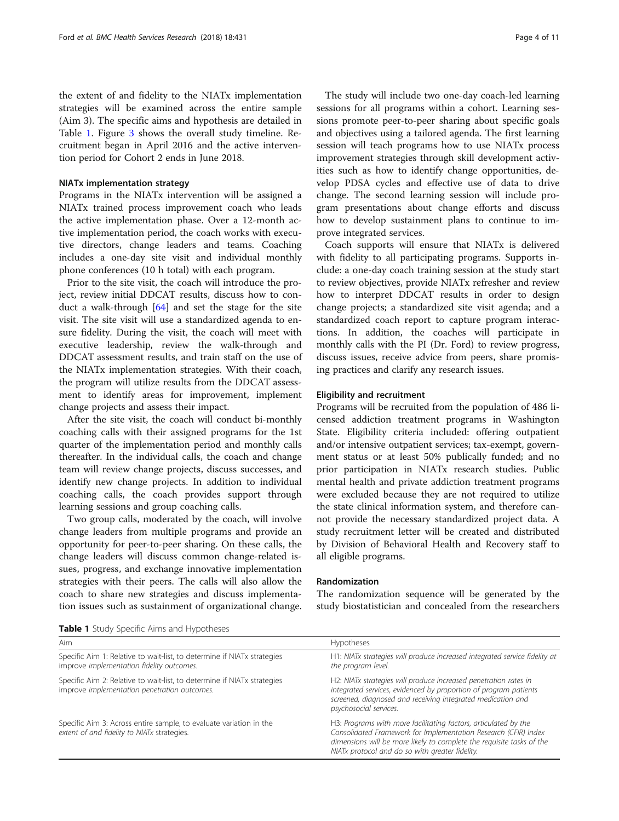<span id="page-3-0"></span>the extent of and fidelity to the NIATx implementation strategies will be examined across the entire sample (Aim 3). The specific aims and hypothesis are detailed in Table 1. Figure [3](#page-4-0) shows the overall study timeline. Recruitment began in April 2016 and the active intervention period for Cohort 2 ends in June 2018.

#### NIATx implementation strategy

Programs in the NIATx intervention will be assigned a NIATx trained process improvement coach who leads the active implementation phase. Over a 12-month active implementation period, the coach works with executive directors, change leaders and teams. Coaching includes a one-day site visit and individual monthly phone conferences (10 h total) with each program.

Prior to the site visit, the coach will introduce the project, review initial DDCAT results, discuss how to conduct a walk-through [[64\]](#page-10-0) and set the stage for the site visit. The site visit will use a standardized agenda to ensure fidelity. During the visit, the coach will meet with executive leadership, review the walk-through and DDCAT assessment results, and train staff on the use of the NIATx implementation strategies. With their coach, the program will utilize results from the DDCAT assessment to identify areas for improvement, implement change projects and assess their impact.

After the site visit, the coach will conduct bi-monthly coaching calls with their assigned programs for the 1st quarter of the implementation period and monthly calls thereafter. In the individual calls, the coach and change team will review change projects, discuss successes, and identify new change projects. In addition to individual coaching calls, the coach provides support through learning sessions and group coaching calls.

Two group calls, moderated by the coach, will involve change leaders from multiple programs and provide an opportunity for peer-to-peer sharing. On these calls, the change leaders will discuss common change-related issues, progress, and exchange innovative implementation strategies with their peers. The calls will also allow the coach to share new strategies and discuss implementation issues such as sustainment of organizational change.

The study will include two one-day coach-led learning sessions for all programs within a cohort. Learning sessions promote peer-to-peer sharing about specific goals and objectives using a tailored agenda. The first learning session will teach programs how to use NIATx process improvement strategies through skill development activities such as how to identify change opportunities, develop PDSA cycles and effective use of data to drive change. The second learning session will include program presentations about change efforts and discuss how to develop sustainment plans to continue to improve integrated services.

Coach supports will ensure that NIATx is delivered with fidelity to all participating programs. Supports include: a one-day coach training session at the study start to review objectives, provide NIATx refresher and review how to interpret DDCAT results in order to design change projects; a standardized site visit agenda; and a standardized coach report to capture program interactions. In addition, the coaches will participate in monthly calls with the PI (Dr. Ford) to review progress, discuss issues, receive advice from peers, share promising practices and clarify any research issues.

#### Eligibility and recruitment

Programs will be recruited from the population of 486 licensed addiction treatment programs in Washington State. Eligibility criteria included: offering outpatient and/or intensive outpatient services; tax-exempt, government status or at least 50% publically funded; and no prior participation in NIATx research studies. Public mental health and private addiction treatment programs were excluded because they are not required to utilize the state clinical information system, and therefore cannot provide the necessary standardized project data. A study recruitment letter will be created and distributed by Division of Behavioral Health and Recovery staff to all eligible programs.

#### Randomization

The randomization sequence will be generated by the study biostatistician and concealed from the researchers

|  |  |  |  | Table 1 Study Specific Aims and Hypotheses |
|--|--|--|--|--------------------------------------------|
|--|--|--|--|--------------------------------------------|

| Aim                                                                                                                     | <b>Hypotheses</b>                                                                                                                                                                                                                                              |
|-------------------------------------------------------------------------------------------------------------------------|----------------------------------------------------------------------------------------------------------------------------------------------------------------------------------------------------------------------------------------------------------------|
|                                                                                                                         |                                                                                                                                                                                                                                                                |
| Specific Aim 1: Relative to wait-list, to determine if NIATx strategies<br>improve implementation fidelity outcomes.    | H1: NIATx strategies will produce increased integrated service fidelity at<br>the program level.                                                                                                                                                               |
| Specific Aim 2: Relative to wait-list, to determine if NIATx strategies<br>improve implementation penetration outcomes. | H2: NIATx strategies will produce increased penetration rates in<br>integrated services, evidenced by proportion of program patients<br>screened, diagnosed and receiving integrated medication and<br>psychosocial services.                                  |
| Specific Aim 3: Across entire sample, to evaluate variation in the<br>extent of and fidelity to NIATx strategies.       | H3: Programs with more facilitating factors, articulated by the<br>Consolidated Framework for Implementation Research (CFIR) Index<br>dimensions will be more likely to complete the requisite tasks of the<br>NIATx protocol and do so with greater fidelity. |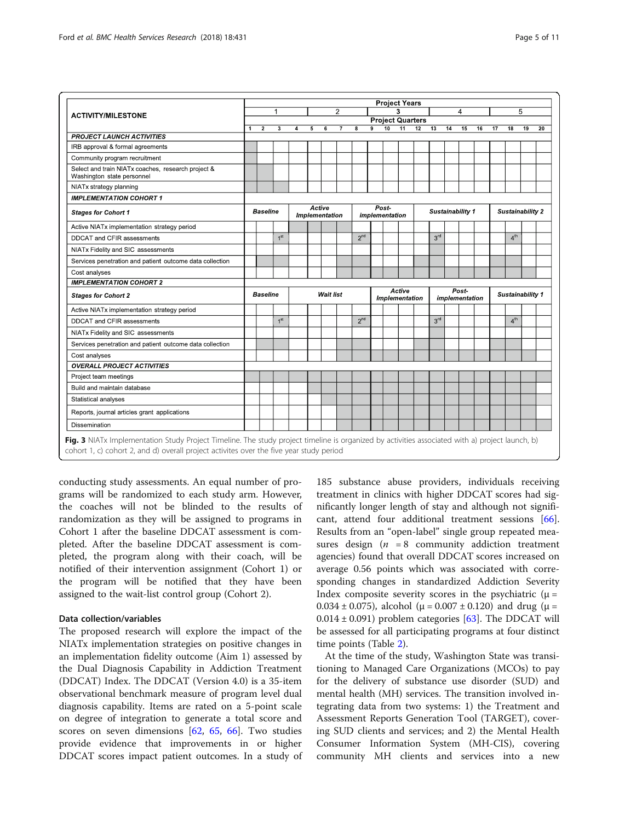<span id="page-4-0"></span>

|                                                                                  |                |                                                              | <b>Project Years</b>    |   |   |                  |                |                 |                         |                |                 |                  |                 |    |                         |    |                         |                  |    |    |
|----------------------------------------------------------------------------------|----------------|--------------------------------------------------------------|-------------------------|---|---|------------------|----------------|-----------------|-------------------------|----------------|-----------------|------------------|-----------------|----|-------------------------|----|-------------------------|------------------|----|----|
| <b>ACTIVITY/MILESTONE</b>                                                        |                | $\overline{\mathbf{4}}$<br>2<br>1<br><b>Project Quarters</b> |                         |   |   |                  |                |                 |                         |                |                 |                  | 5               |    |                         |    |                         |                  |    |    |
|                                                                                  |                | $\overline{2}$                                               | $\overline{\mathbf{3}}$ | 4 | 5 | 6                | $\overline{7}$ | 8               | $\overline{9}$          | 10             | $\overline{11}$ | 12               | 13              | 14 | 15                      | 16 | 17                      | 18               | 19 | 20 |
| <b>PROJECT LAUNCH ACTIVITIES</b>                                                 | $\overline{1}$ |                                                              |                         |   |   |                  |                |                 |                         |                |                 |                  |                 |    |                         |    |                         |                  |    |    |
| IRB approval & formal agreements                                                 |                |                                                              |                         |   |   |                  |                |                 |                         |                |                 |                  |                 |    |                         |    |                         |                  |    |    |
| Community program recruitment                                                    |                |                                                              |                         |   |   |                  |                |                 |                         |                |                 |                  |                 |    |                         |    |                         |                  |    |    |
| Select and train NIATx coaches, research project &<br>Washington state personnel |                |                                                              |                         |   |   |                  |                |                 |                         |                |                 |                  |                 |    |                         |    |                         |                  |    |    |
| NIATx strategy planning                                                          |                |                                                              |                         |   |   |                  |                |                 |                         |                |                 |                  |                 |    |                         |    |                         |                  |    |    |
| <b>IMPLEMENTATION COHORT 1</b>                                                   |                |                                                              |                         |   |   |                  |                |                 |                         |                |                 |                  |                 |    |                         |    |                         |                  |    |    |
| <b>Stages for Cohort 1</b>                                                       |                | Active<br><b>Baseline</b><br>Implementation                  |                         |   |   |                  |                |                 | Post-<br>implementation |                |                 | Sustainability 1 |                 |    |                         |    | <b>Sustainability 2</b> |                  |    |    |
| Active NIATx implementation strategy period                                      |                |                                                              |                         |   |   |                  |                |                 |                         |                |                 |                  |                 |    |                         |    |                         |                  |    |    |
| DDCAT and CFIR assessments                                                       |                |                                                              | 1 <sup>st</sup>         |   |   |                  |                | 2 <sup>nd</sup> |                         |                |                 |                  | 3 <sup>rd</sup> |    |                         |    |                         | 4 <sup>th</sup>  |    |    |
| NIATx Fidelity and SIC assessments                                               |                |                                                              |                         |   |   |                  |                |                 |                         |                |                 |                  |                 |    |                         |    |                         |                  |    |    |
| Services penetration and patient outcome data collection                         |                |                                                              |                         |   |   |                  |                |                 |                         |                |                 |                  |                 |    |                         |    |                         |                  |    |    |
| Cost analyses                                                                    |                |                                                              |                         |   |   |                  |                |                 |                         |                |                 |                  |                 |    |                         |    |                         |                  |    |    |
| <b>IMPLEMENTATION COHORT 2</b>                                                   |                |                                                              |                         |   |   |                  |                |                 |                         |                |                 |                  |                 |    |                         |    |                         |                  |    |    |
| <b>Stages for Cohort 2</b>                                                       |                | Baseline                                                     |                         |   |   | <b>Wait list</b> |                |                 |                         | Implementation | Active          |                  |                 |    | Post-<br>implementation |    |                         | Sustainability 1 |    |    |
| Active NIATx implementation strategy period                                      |                |                                                              |                         |   |   |                  |                |                 |                         |                |                 |                  |                 |    |                         |    |                         |                  |    |    |
| DDCAT and CFIR assessments                                                       |                |                                                              | 1 <sup>st</sup>         |   |   |                  |                | 2 <sup>nd</sup> |                         |                |                 |                  | 3 <sup>rd</sup> |    |                         |    |                         | 4 <sup>th</sup>  |    |    |
| NIATx Fidelity and SIC assessments                                               |                |                                                              |                         |   |   |                  |                |                 |                         |                |                 |                  |                 |    |                         |    |                         |                  |    |    |
| Services penetration and patient outcome data collection                         |                |                                                              |                         |   |   |                  |                |                 |                         |                |                 |                  |                 |    |                         |    |                         |                  |    |    |
| Cost analyses                                                                    |                |                                                              |                         |   |   |                  |                |                 |                         |                |                 |                  |                 |    |                         |    |                         |                  |    |    |
| <b>OVERALL PROJECT ACTIVITIES</b>                                                |                |                                                              |                         |   |   |                  |                |                 |                         |                |                 |                  |                 |    |                         |    |                         |                  |    |    |
| Project team meetings                                                            |                |                                                              |                         |   |   |                  |                |                 |                         |                |                 |                  |                 |    |                         |    |                         |                  |    |    |
| Build and maintain database                                                      |                |                                                              |                         |   |   |                  |                |                 |                         |                |                 |                  |                 |    |                         |    |                         |                  |    |    |
| Statistical analyses                                                             |                |                                                              |                         |   |   |                  |                |                 |                         |                |                 |                  |                 |    |                         |    |                         |                  |    |    |
| Reports, journal articles grant applications                                     |                |                                                              |                         |   |   |                  |                |                 |                         |                |                 |                  |                 |    |                         |    |                         |                  |    |    |
| Dissemination                                                                    |                |                                                              |                         |   |   |                  |                |                 |                         |                |                 |                  |                 |    |                         |    |                         |                  |    |    |

conducting study assessments. An equal number of programs will be randomized to each study arm. However, the coaches will not be blinded to the results of randomization as they will be assigned to programs in Cohort 1 after the baseline DDCAT assessment is completed. After the baseline DDCAT assessment is completed, the program along with their coach, will be notified of their intervention assignment (Cohort 1) or the program will be notified that they have been assigned to the wait-list control group (Cohort 2).

# Data collection/variables

The proposed research will explore the impact of the NIATx implementation strategies on positive changes in an implementation fidelity outcome (Aim 1) assessed by the Dual Diagnosis Capability in Addiction Treatment (DDCAT) Index. The DDCAT (Version 4.0) is a 35-item observational benchmark measure of program level dual diagnosis capability. Items are rated on a 5-point scale on degree of integration to generate a total score and scores on seven dimensions [[62](#page-10-0), [65](#page-10-0), [66](#page-10-0)]. Two studies provide evidence that improvements in or higher DDCAT scores impact patient outcomes. In a study of

185 substance abuse providers, individuals receiving treatment in clinics with higher DDCAT scores had significantly longer length of stay and although not significant, attend four additional treatment sessions [\[66](#page-10-0)]. Results from an "open-label" single group repeated measures design ( $n = 8$  community addiction treatment agencies) found that overall DDCAT scores increased on average 0.56 points which was associated with corresponding changes in standardized Addiction Severity Index composite severity scores in the psychiatric  $(\mu =$ 0.034  $\pm$  0.075), alcohol ( $\mu$  = 0.007  $\pm$  0.120) and drug ( $\mu$  =  $0.014 \pm 0.091$ ) problem categories [[63\]](#page-10-0). The DDCAT will be assessed for all participating programs at four distinct time points (Table [2](#page-5-0)).

At the time of the study, Washington State was transitioning to Managed Care Organizations (MCOs) to pay for the delivery of substance use disorder (SUD) and mental health (MH) services. The transition involved integrating data from two systems: 1) the Treatment and Assessment Reports Generation Tool (TARGET), covering SUD clients and services; and 2) the Mental Health Consumer Information System (MH-CIS), covering community MH clients and services into a new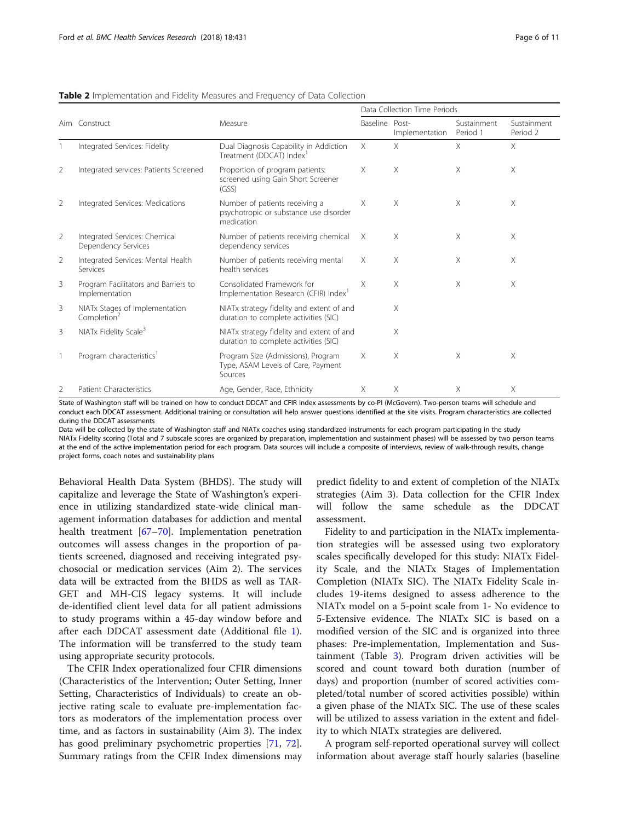|   |                                                           |                                                                                        | Data Collection Time Periods |                |                         |                         |  |  |  |  |
|---|-----------------------------------------------------------|----------------------------------------------------------------------------------------|------------------------------|----------------|-------------------------|-------------------------|--|--|--|--|
|   | Aim Construct                                             | Measure                                                                                | Baseline Post-               | Implementation | Sustainment<br>Period 1 | Sustainment<br>Period 2 |  |  |  |  |
|   | Integrated Services: Fidelity                             | Dual Diagnosis Capability in Addiction<br>Treatment (DDCAT) Index <sup>1</sup>         | X                            | X              | $\times$                | X                       |  |  |  |  |
| 2 | Integrated services: Patients Screened                    | Proportion of program patients:<br>screened using Gain Short Screener<br>(GSS)         | X                            | $\times$       | $\times$                | X                       |  |  |  |  |
| 2 | Integrated Services: Medications                          | Number of patients receiving a<br>psychotropic or substance use disorder<br>medication | $\times$                     | X              | $\times$                | X                       |  |  |  |  |
| 2 | Integrated Services: Chemical<br>Dependency Services      | Number of patients receiving chemical<br>dependency services                           | $\times$                     | $\times$       | X                       | X                       |  |  |  |  |
| 2 | Integrated Services: Mental Health<br>Services            | Number of patients receiving mental<br>health services                                 | $\times$                     | X              | X                       | X                       |  |  |  |  |
| 3 | Program Facilitators and Barriers to<br>Implementation    | Consolidated Framework for<br>Implementation Research (CFIR) Index <sup>1</sup>        | X                            | X              | X                       | X                       |  |  |  |  |
| 3 | NIATx Stages of Implementation<br>Completion <sup>2</sup> | NIATx strategy fidelity and extent of and<br>duration to complete activities (SIC)     |                              | X              |                         |                         |  |  |  |  |
| 3 | NIATx Fidelity Scale <sup>3</sup>                         | NIATx strategy fidelity and extent of and<br>duration to complete activities (SIC)     |                              | X              |                         |                         |  |  |  |  |
|   | Program characteristics <sup>1</sup>                      | Program Size (Admissions), Program<br>Type, ASAM Levels of Care, Payment<br>Sources    | $\times$                     | X              | $\times$                | X                       |  |  |  |  |
| 2 | <b>Patient Characteristics</b>                            | Age, Gender, Race, Ethnicity                                                           | Χ                            | Χ              | $\times$                | Χ                       |  |  |  |  |

<span id="page-5-0"></span>Table 2 Implementation and Fidelity Measures and Frequency of Data Collection

State of Washington staff will be trained on how to conduct DDCAT and CFIR Index assessments by co-PI (McGovern). Two-person teams will schedule and conduct each DDCAT assessment. Additional training or consultation will help answer questions identified at the site visits. Program characteristics are collected during the DDCAT assessments

Data will be collected by the state of Washington staff and NIATx coaches using standardized instruments for each program participating in the study NIATx Fidelity scoring (Total and 7 subscale scores are organized by preparation, implementation and sustainment phases) will be assessed by two person teams at the end of the active implementation period for each program. Data sources will include a composite of interviews, review of walk-through results, change project forms, coach notes and sustainability plans

Behavioral Health Data System (BHDS). The study will capitalize and leverage the State of Washington's experience in utilizing standardized state-wide clinical management information databases for addiction and mental health treatment [\[67](#page-10-0)–[70\]](#page-10-0). Implementation penetration outcomes will assess changes in the proportion of patients screened, diagnosed and receiving integrated psychosocial or medication services (Aim 2). The services data will be extracted from the BHDS as well as TAR-GET and MH-CIS legacy systems. It will include de-identified client level data for all patient admissions to study programs within a 45-day window before and after each DDCAT assessment date (Additional file [1](#page-8-0)). The information will be transferred to the study team using appropriate security protocols.

The CFIR Index operationalized four CFIR dimensions (Characteristics of the Intervention; Outer Setting, Inner Setting, Characteristics of Individuals) to create an objective rating scale to evaluate pre-implementation factors as moderators of the implementation process over time, and as factors in sustainability (Aim 3). The index has good preliminary psychometric properties [[71,](#page-10-0) [72](#page-10-0)]. Summary ratings from the CFIR Index dimensions may predict fidelity to and extent of completion of the NIATx strategies (Aim 3). Data collection for the CFIR Index will follow the same schedule as the DDCAT assessment.

Fidelity to and participation in the NIATx implementation strategies will be assessed using two exploratory scales specifically developed for this study: NIATx Fidelity Scale, and the NIATx Stages of Implementation Completion (NIATx SIC). The NIATx Fidelity Scale includes 19-items designed to assess adherence to the NIATx model on a 5-point scale from 1- No evidence to 5-Extensive evidence. The NIATx SIC is based on a modified version of the SIC and is organized into three phases: Pre-implementation, Implementation and Sustainment (Table [3](#page-6-0)). Program driven activities will be scored and count toward both duration (number of days) and proportion (number of scored activities completed/total number of scored activities possible) within a given phase of the NIATx SIC. The use of these scales will be utilized to assess variation in the extent and fidelity to which NIATx strategies are delivered.

A program self-reported operational survey will collect information about average staff hourly salaries (baseline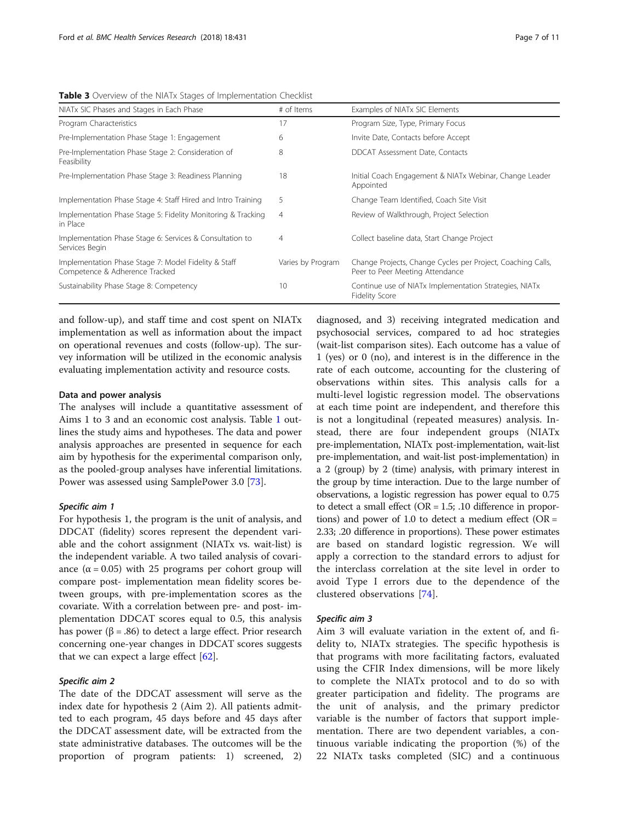<span id="page-6-0"></span>Table 3 Overview of the NIATx Stages of Implementation Checklist

| NIATx SIC Phases and Stages in Each Phase                                              | # of Items        | Examples of NIATx SIC Elements                                                                 |  |  |  |  |  |
|----------------------------------------------------------------------------------------|-------------------|------------------------------------------------------------------------------------------------|--|--|--|--|--|
| Program Characteristics                                                                | 17                | Program Size, Type, Primary Focus                                                              |  |  |  |  |  |
| Pre-Implementation Phase Stage 1: Engagement                                           | 6                 | Invite Date, Contacts before Accept                                                            |  |  |  |  |  |
| Pre-Implementation Phase Stage 2: Consideration of<br>Feasibility                      | 8                 | DDCAT Assessment Date, Contacts                                                                |  |  |  |  |  |
| Pre-Implementation Phase Stage 3: Readiness Planning                                   | 18                | Initial Coach Engagement & NIATx Webinar, Change Leader<br>Appointed                           |  |  |  |  |  |
| Implementation Phase Stage 4: Staff Hired and Intro Training                           | 5                 | Change Team Identified, Coach Site Visit                                                       |  |  |  |  |  |
| Implementation Phase Stage 5: Fidelity Monitoring & Tracking<br>in Place               | 4                 | Review of Walkthrough, Project Selection                                                       |  |  |  |  |  |
| Implementation Phase Stage 6: Services & Consultation to<br>Services Begin             | 4                 | Collect baseline data, Start Change Project                                                    |  |  |  |  |  |
| Implementation Phase Stage 7: Model Fidelity & Staff<br>Competence & Adherence Tracked | Varies by Program | Change Projects, Change Cycles per Project, Coaching Calls,<br>Peer to Peer Meeting Attendance |  |  |  |  |  |
| Sustainability Phase Stage 8: Competency                                               | 10                | Continue use of NIATx Implementation Strategies, NIATx<br><b>Fidelity Score</b>                |  |  |  |  |  |

and follow-up), and staff time and cost spent on NIATx implementation as well as information about the impact on operational revenues and costs (follow-up). The survey information will be utilized in the economic analysis evaluating implementation activity and resource costs.

### Data and power analysis

The analyses will include a quantitative assessment of Aims 1 to 3 and an economic cost analysis. Table [1](#page-3-0) outlines the study aims and hypotheses. The data and power analysis approaches are presented in sequence for each aim by hypothesis for the experimental comparison only, as the pooled-group analyses have inferential limitations. Power was assessed using SamplePower 3.0 [[73\]](#page-10-0).

#### Specific aim 1

For hypothesis 1, the program is the unit of analysis, and DDCAT (fidelity) scores represent the dependent variable and the cohort assignment (NIATx vs. wait-list) is the independent variable. A two tailed analysis of covariance  $(\alpha = 0.05)$  with 25 programs per cohort group will compare post- implementation mean fidelity scores between groups, with pre-implementation scores as the covariate. With a correlation between pre- and post- implementation DDCAT scores equal to 0.5, this analysis has power (β = .86) to detect a large effect. Prior research concerning one-year changes in DDCAT scores suggests that we can expect a large effect  $[62]$  $[62]$ .

# Specific aim 2

The date of the DDCAT assessment will serve as the index date for hypothesis 2 (Aim 2). All patients admitted to each program, 45 days before and 45 days after the DDCAT assessment date, will be extracted from the state administrative databases. The outcomes will be the proportion of program patients: 1) screened, 2)

diagnosed, and 3) receiving integrated medication and psychosocial services, compared to ad hoc strategies (wait-list comparison sites). Each outcome has a value of 1 (yes) or 0 (no), and interest is in the difference in the rate of each outcome, accounting for the clustering of observations within sites. This analysis calls for a multi-level logistic regression model. The observations at each time point are independent, and therefore this is not a longitudinal (repeated measures) analysis. Instead, there are four independent groups (NIATx pre-implementation, NIATx post-implementation, wait-list pre-implementation, and wait-list post-implementation) in a 2 (group) by 2 (time) analysis, with primary interest in the group by time interaction. Due to the large number of observations, a logistic regression has power equal to 0.75 to detect a small effect ( $OR = 1.5$ ; .10 difference in proportions) and power of 1.0 to detect a medium effect ( $OR =$ 2.33; .20 difference in proportions). These power estimates are based on standard logistic regression. We will apply a correction to the standard errors to adjust for the interclass correlation at the site level in order to avoid Type I errors due to the dependence of the clustered observations [[74\]](#page-10-0).

#### Specific aim 3

Aim 3 will evaluate variation in the extent of, and fidelity to, NIATx strategies. The specific hypothesis is that programs with more facilitating factors, evaluated using the CFIR Index dimensions, will be more likely to complete the NIATx protocol and to do so with greater participation and fidelity. The programs are the unit of analysis, and the primary predictor variable is the number of factors that support implementation. There are two dependent variables, a continuous variable indicating the proportion (%) of the 22 NIATx tasks completed (SIC) and a continuous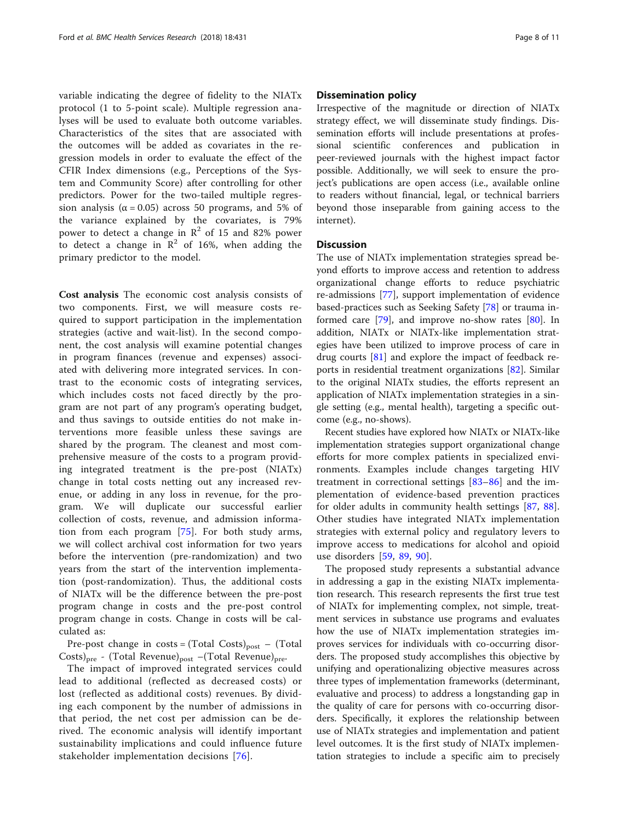variable indicating the degree of fidelity to the NIATx protocol (1 to 5-point scale). Multiple regression analyses will be used to evaluate both outcome variables. Characteristics of the sites that are associated with the outcomes will be added as covariates in the regression models in order to evaluate the effect of the CFIR Index dimensions (e.g., Perceptions of the System and Community Score) after controlling for other predictors. Power for the two-tailed multiple regression analysis ( $\alpha$  = 0.05) across 50 programs, and 5% of the variance explained by the covariates, is 79% power to detect a change in  $\mathbb{R}^2$  of 15 and 82% power to detect a change in  $\mathbb{R}^2$  of 16%, when adding the primary predictor to the model.

Cost analysis The economic cost analysis consists of two components. First, we will measure costs required to support participation in the implementation strategies (active and wait-list). In the second component, the cost analysis will examine potential changes in program finances (revenue and expenses) associated with delivering more integrated services. In contrast to the economic costs of integrating services, which includes costs not faced directly by the program are not part of any program's operating budget, and thus savings to outside entities do not make interventions more feasible unless these savings are shared by the program. The cleanest and most comprehensive measure of the costs to a program providing integrated treatment is the pre-post (NIATx) change in total costs netting out any increased revenue, or adding in any loss in revenue, for the program. We will duplicate our successful earlier collection of costs, revenue, and admission information from each program [[75\]](#page-10-0). For both study arms, we will collect archival cost information for two years before the intervention (pre-randomization) and two years from the start of the intervention implementation (post-randomization). Thus, the additional costs of NIATx will be the difference between the pre-post program change in costs and the pre-post control program change in costs. Change in costs will be calculated as:

Pre-post change in  $costs = (Total Costs)_{post} - (Total)$  $\text{Costs}\rangle_{\text{pre}}$  - (Total Revenue)<sub>post</sub> –(Total Revenue)<sub>pre</sub>.

The impact of improved integrated services could lead to additional (reflected as decreased costs) or lost (reflected as additional costs) revenues. By dividing each component by the number of admissions in that period, the net cost per admission can be derived. The economic analysis will identify important sustainability implications and could influence future stakeholder implementation decisions [\[76](#page-10-0)].

# Dissemination policy

Irrespective of the magnitude or direction of NIATx strategy effect, we will disseminate study findings. Dissemination efforts will include presentations at professional scientific conferences and publication in peer-reviewed journals with the highest impact factor possible. Additionally, we will seek to ensure the project's publications are open access (i.e., available online to readers without financial, legal, or technical barriers beyond those inseparable from gaining access to the internet).

#### **Discussion**

The use of NIATx implementation strategies spread beyond efforts to improve access and retention to address organizational change efforts to reduce psychiatric re-admissions [\[77](#page-10-0)], support implementation of evidence based-practices such as Seeking Safety [\[78](#page-10-0)] or trauma in-formed care [[79\]](#page-10-0), and improve no-show rates [[80\]](#page-10-0). In addition, NIATx or NIATx-like implementation strategies have been utilized to improve process of care in drug courts  $[81]$  $[81]$  and explore the impact of feedback reports in residential treatment organizations [\[82\]](#page-10-0). Similar to the original NIATx studies, the efforts represent an application of NIATx implementation strategies in a single setting (e.g., mental health), targeting a specific outcome (e.g., no-shows).

Recent studies have explored how NIATx or NIATx-like implementation strategies support organizational change efforts for more complex patients in specialized environments. Examples include changes targeting HIV treatment in correctional settings [[83](#page-10-0)–[86\]](#page-10-0) and the implementation of evidence-based prevention practices for older adults in community health settings [[87,](#page-10-0) [88](#page-10-0)]. Other studies have integrated NIATx implementation strategies with external policy and regulatory levers to improve access to medications for alcohol and opioid use disorders [[59,](#page-10-0) [89,](#page-10-0) [90](#page-10-0)].

The proposed study represents a substantial advance in addressing a gap in the existing NIATx implementation research. This research represents the first true test of NIATx for implementing complex, not simple, treatment services in substance use programs and evaluates how the use of NIATx implementation strategies improves services for individuals with co-occurring disorders. The proposed study accomplishes this objective by unifying and operationalizing objective measures across three types of implementation frameworks (determinant, evaluative and process) to address a longstanding gap in the quality of care for persons with co-occurring disorders. Specifically, it explores the relationship between use of NIATx strategies and implementation and patient level outcomes. It is the first study of NIATx implementation strategies to include a specific aim to precisely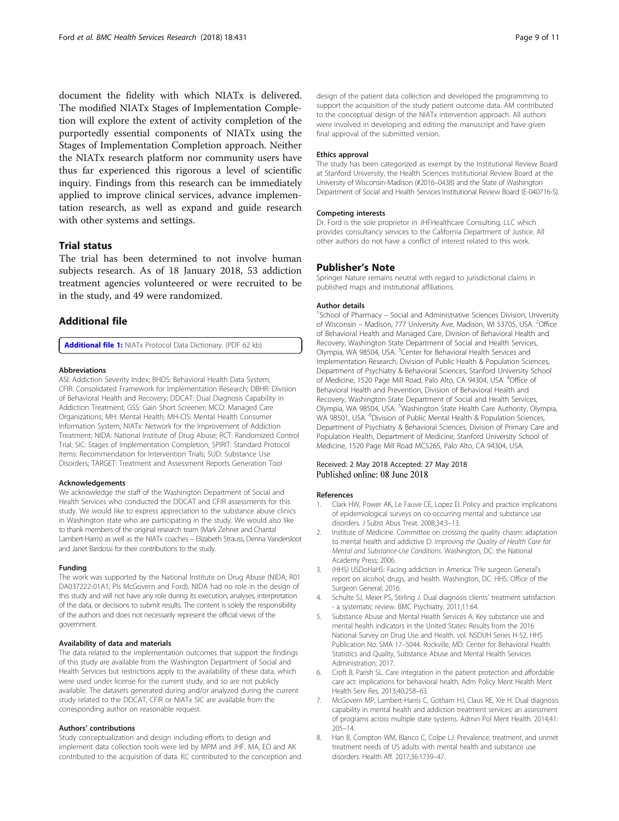<span id="page-8-0"></span>document the fidelity with which NIATx is delivered. The modified NIATx Stages of Implementation Completion will explore the extent of activity completion of the purportedly essential components of NIATx using the Stages of Implementation Completion approach. Neither the NIATx research platform nor community users have thus far experienced this rigorous a level of scientific inquiry. Findings from this research can be immediately applied to improve clinical services, advance implementation research, as well as expand and guide research with other systems and settings.

# Trial status

The trial has been determined to not involve human subjects research. As of 18 January 2018, 53 addiction treatment agencies volunteered or were recruited to be in the study, and 49 were randomized.

#### Additional file

[Additional file 1:](https://doi.org/10.1186/s12913-018-3241-4) NIATx Protocol Data Dictionary. (PDF 62 kb)

#### Abbreviations

ASI: Addiction Severity Index; BHDS: Behavioral Health Data System; CFIR: Consolidated Framework for Implementation Research; DBHR: Division of Behavioral Health and Recovery; DDCAT: Dual Diagnosis Capability in Addiction Treatment; GSS: Gain Short Screener; MCO: Managed Care Organizations; MH: Mental Health; MH-CIS: Mental Health Consumer Information System; NIATx: Network for the Improvement of Addiction Treatment; NIDA: National Institute of Drug Abuse; RCT: Randomized Control Trial; SIC: Stages of Implementation Completion; SPIRIT: Standard Protocol Items: Recommendation for Intervention Trials; SUD: Substance Use Disorders; TARGET: Treatment and Assessment Reports Generation Tool

#### Acknowledgements

We acknowledge the staff of the Washington Department of Social and Health Services who conducted the DDCAT and CFIR assessments for this study. We would like to express appreciation to the substance abuse clinics in Washington state who are participating in the study. We would also like to thank members of the original research team (Mark Zehner and Chantal Lambert-Harris) as well as the NIATx coaches – Elizabeth Strauss, Denna Vandersloot and Janet Bardossi for their contributions to the study.

#### Funding

The work was supported by the National Institute on Drug Abuse (NIDA; R01 DA037222-01A1; PIs McGovern and Ford). NIDA had no role in the design of this study and will not have any role during its execution, analyses, interpretation of the data, or decisions to submit results. The content is solely the responsibility of the authors and does not necessarily represent the official views of the government.

#### Availability of data and materials

The data related to the implementation outcomes that support the findings of this study are available from the Washington Department of Social and Health Services but restrictions apply to the availability of these data, which were used under license for the current study, and so are not publicly available. The datasets generated during and/or analyzed during the current study related to the DDCAT, CFIR or NIATx SIC are available from the corresponding author on reasonable request.

#### Authors' contributions

Study conceptualization and design including efforts to design and implement data collection tools were led by MPM and JHF. MA, EO and AK contributed to the acquisition of data. KC contributed to the conception and design of the patient data collection and developed the programming to support the acquisition of the study patient outcome data. AM contributed to the conceptual design of the NIATx intervention approach. All authors were involved in developing and editing the manuscript and have given final approval of the submitted version.

#### Ethics approval

The study has been categorized as exempt by the Institutional Review Board at Stanford University, the Health Sciences Institutional Review Board at the University of Wisconsin-Madison (#2016–0438) and the State of Washington Department of Social and Health Services Institutional Review Board (E-040716-S).

### Competing interests

Dr. Ford is the sole proprietor in JHFHealthcare Consulting, LLC which provides consultancy services to the California Department of Justice. All other authors do not have a conflict of interest related to this work.

#### Publisher's Note

Springer Nature remains neutral with regard to jurisdictional claims in published maps and institutional affiliations.

#### Author details

<sup>1</sup>School of Pharmacy - Social and Administrative Sciences Division, University of Wisconsin - Madison, 777 University Ave, Madison, WI 53705, USA. <sup>2</sup>Office of Behavioral Health and Managed Care, Division of Behavioral Health and Recovery, Washington State Department of Social and Health Services, Olympia, WA 98504, USA. <sup>3</sup>Center for Behavioral Health Services and Implementation Research, Division of Public Health & Population Sciences, Department of Psychiatry & Behavioral Sciences, Stanford University School of Medicine, 1520 Page Mill Road, Palo Alto, CA 94304, USA. <sup>4</sup>Office of Behavioral Health and Prevention, Division of Behavioral Health and Recovery, Washington State Department of Social and Health Services, Olympia, WA 98504, USA. <sup>5</sup>Washington State Health Care Authority, Olympia, WA 98501, USA. <sup>6</sup>Division of Public Mental Health & Population Sciences, Department of Psychiatry & Behavioral Sciences, Division of Primary Care and Population Health, Department of Medicine, Stanford University School of Medicine, 1520 Page Mill Road MC5265, Palo Alto, CA 94304, USA.

#### Received: 2 May 2018 Accepted: 27 May 2018 Published online: 08 June 2018

#### References

- 1. Clark HW, Power AK, Le Fauve CE, Lopez EI. Policy and practice implications of epidemiological surveys on co-occurring mental and substance use disorders. J Subst Abus Treat. 2008;34:3–13.
- 2. Institute of Medicine. Committee on crossing the quality chasm: adaptation to mental health and addictive D: Improving the Quality of Health Care for Mental and Substance-Use Conditions. Washington, DC: the National Academy Press; 2006.
- 3. (HHS) USDoHaHS: Facing addiction in America: THe surgeon General's report on alcohol, drugs, and health. Washington, DC: HHS: Office of the Surgeon General; 2016.
- 4. Schulte SJ, Meier PS, Stirling J. Dual diagnosis clients' treatment satisfaction - a systematic review. BMC Psychiatry. 2011;11:64.
- 5. Substance Abuse and Mental Health Services A: Key substance use and mental health indicators in the United States: Results from the 2016 National Survey on Drug Use and Health. vol. NSDUH Series H-52, HHS Publication No. SMA 17–5044. Rockville, MD: Center for Behavioral Health Statistics and Quality, Substance Abuse and Mental Health Services Administration; 2017.
- 6. Croft B, Parish SL. Care integration in the patient protection and affordable care act: implications for behavioral health. Adm Policy Ment Health Ment Health Serv Res. 2013;40:258–63.
- 7. McGovern MP, Lambert-Harris C, Gotham HJ, Claus RE, Xie H. Dual diagnosis capability in mental health and addiction treatment services: an assessment of programs across multiple state systems. Admin Pol Ment Health. 2014;41: 205–14.
- 8. Han B, Compton WM, Blanco C, Colpe LJ. Prevalence, treatment, and unmet treatment needs of US adults with mental health and substance use disorders. Health Aff. 2017;36:1739–47.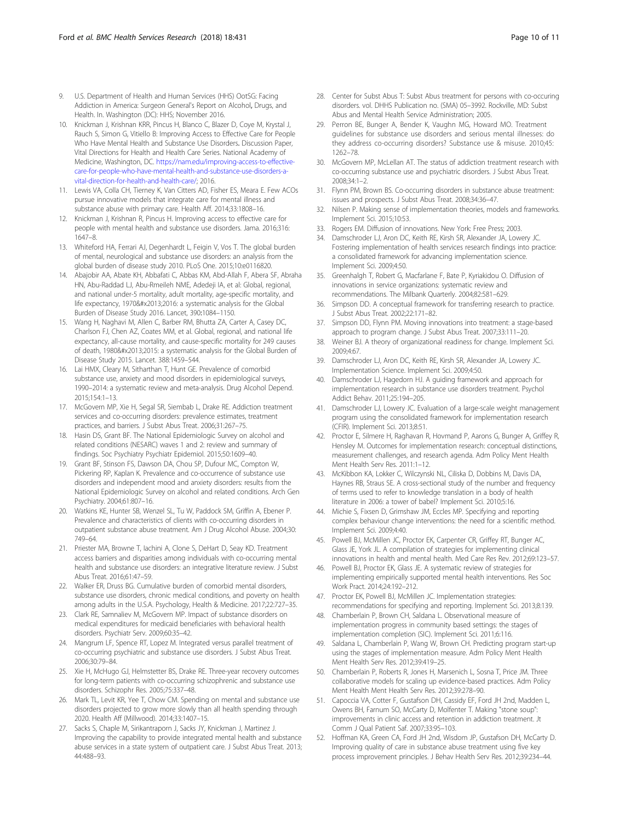- <span id="page-9-0"></span>9. U.S. Department of Health and Human Services (HHS) OotSG: Facing Addiction in America: Surgeon General's Report on Alcohol, Drugs, and Health. In. Washington (DC): HHS; November 2016.
- 10. Knickman J, Krishnan KRR, Pincus H, Blanco C, Blazer D, Coye M, Krystal J, Rauch S, Simon G, Vitiello B: Improving Access to Effective Care for People Who Have Mental Health and Substance Use Disorders. Discussion Paper, Vital Directions for Health and Health Care Series. National Academy of Medicine, Washington, DC. [https://nam.edu/improving-access-to-effective](https://nam.edu/improving-access-to-effective-care-for-people-who-have-mental-health-and-substance-use-disorders-a-vital-direction-for-health-and-health-care/)[care-for-people-who-have-mental-health-and-substance-use-disorders-a](https://nam.edu/improving-access-to-effective-care-for-people-who-have-mental-health-and-substance-use-disorders-a-vital-direction-for-health-and-health-care/)[vital-direction-for-health-and-health-care/](https://nam.edu/improving-access-to-effective-care-for-people-who-have-mental-health-and-substance-use-disorders-a-vital-direction-for-health-and-health-care/); 2016.
- 11. Lewis VA, Colla CH, Tierney K, Van Citters AD, Fisher ES, Meara E. Few ACOs pursue innovative models that integrate care for mental illness and substance abuse with primary care. Health Aff. 2014;33:1808–16.
- 12. Knickman J, Krishnan R, Pincus H. Improving access to effective care for people with mental health and substance use disorders. Jama. 2016;316: 1647–8.
- 13. Whiteford HA, Ferrari AJ, Degenhardt L, Feigin V, Vos T. The global burden of mental, neurological and substance use disorders: an analysis from the global burden of disease study 2010. PLoS One. 2015;10:e0116820.
- 14. Abajobir AA, Abate KH, Abbafati C, Abbas KM, Abd-Allah F, Abera SF, Abraha HN, Abu-Raddad LJ, Abu-Rmeileh NME, Adedeji IA, et al: Global, regional, and national under-5 mortality, adult mortality, age-specific mortality, and life expectancy, 1970–2016: a systematic analysis for the Global Burden of Disease Study 2016. Lancet, 390:1084–1150.
- 15. Wang H, Naghavi M, Allen C, Barber RM, Bhutta ZA, Carter A, Casey DC, Charlson FJ, Chen AZ, Coates MM, et al. Global, regional, and national life expectancy, all-cause mortality, and cause-specific mortality for 249 causes of death, 1980–2015: a systematic analysis for the Global Burden of Disease Study 2015. Lancet. 388:1459–544.
- 16. Lai HMX, Cleary M, Sitharthan T, Hunt GE. Prevalence of comorbid substance use, anxiety and mood disorders in epidemiological surveys, 1990–2014: a systematic review and meta-analysis. Drug Alcohol Depend. 2015;154:1–13.
- 17. McGovern MP, Xie H, Segal SR, Siembab L, Drake RE. Addiction treatment services and co-occurring disorders: prevalence estimates, treatment practices, and barriers. J Subst Abus Treat. 2006;31:267–75.
- 18. Hasin DS, Grant BF. The National Epidemiologic Survey on alcohol and related conditions (NESARC) waves 1 and 2: review and summary of findings. Soc Psychiatry Psychiatr Epidemiol. 2015;50:1609–40.
- 19. Grant BF, Stinson FS, Dawson DA, Chou SP, Dufour MC, Compton W, Pickering RP, Kaplan K. Prevalence and co-occurrence of substance use disorders and independent mood and anxiety disorders: results from the National Epidemiologic Survey on alcohol and related conditions. Arch Gen Psychiatry. 2004;61:807–16.
- 20. Watkins KE, Hunter SB, Wenzel SL, Tu W, Paddock SM, Griffin A, Ebener P. Prevalence and characteristics of clients with co-occurring disorders in outpatient substance abuse treatment. Am J Drug Alcohol Abuse. 2004;30: 749–64.
- 21. Priester MA, Browne T, Iachini A, Clone S, DeHart D, Seay KD. Treatment access barriers and disparities among individuals with co-occurring mental health and substance use disorders: an integrative literature review. J Subst Abus Treat. 2016;61:47–59.
- 22. Walker ER, Druss BG. Cumulative burden of comorbid mental disorders, substance use disorders, chronic medical conditions, and poverty on health among adults in the U.S.A. Psychology, Health & Medicine. 2017;22:727–35.
- 23. Clark RE, Samnaliev M, McGovern MP. Impact of substance disorders on medical expenditures for medicaid beneficiaries with behavioral health disorders. Psychiatr Serv. 2009;60:35–42.
- 24. Mangrum LF, Spence RT, Lopez M. Integrated versus parallel treatment of co-occurring psychiatric and substance use disorders. J Subst Abus Treat. 2006;30:79–84.
- 25. Xie H, McHugo GJ, Helmstetter BS, Drake RE. Three-year recovery outcomes for long-term patients with co-occurring schizophrenic and substance use disorders. Schizophr Res. 2005;75:337–48.
- 26. Mark TL, Levit KR, Yee T, Chow CM. Spending on mental and substance use disorders projected to grow more slowly than all health spending through 2020. Health Aff (Millwood). 2014;33:1407–15.
- 27. Sacks S, Chaple M, Sirikantraporn J, Sacks JY, Knickman J, Martinez J. Improving the capability to provide integrated mental health and substance abuse services in a state system of outpatient care. J Subst Abus Treat. 2013; 44:488–93.
- 28. Center for Subst Abus T: Subst Abus treatment for persons with co-occuring disorders. vol. DHHS Publication no. (SMA) 05–3992. Rockville, MD: Subst Abus and Mental Health Service Administration; 2005.
- 29. Perron BE, Bunger A, Bender K, Vaughn MG, Howard MO. Treatment guidelines for substance use disorders and serious mental illnesses: do they address co-occurring disorders? Substance use & misuse. 2010;45: 1262–78.
- 30. McGovern MP, McLellan AT. The status of addiction treatment research with co-occurring substance use and psychiatric disorders. J Subst Abus Treat. 2008;34:1–2.
- 31. Flynn PM, Brown BS. Co-occurring disorders in substance abuse treatment: issues and prospects. J Subst Abus Treat. 2008;34:36–47.
- 32. Nilsen P. Making sense of implementation theories, models and frameworks. Implement Sci. 2015;10:53.
- 33. Rogers EM. Diffusion of innovations. New York: Free Press; 2003.
- 34. Damschroder LJ, Aron DC, Keith RE, Kirsh SR, Alexander JA, Lowery JC. Fostering implementation of health services research findings into practice: a consolidated framework for advancing implementation science. Implement Sci. 2009;4:50.
- 35. Greenhalgh T, Robert G, Macfarlane F, Bate P, Kyriakidou O. Diffusion of innovations in service organizations: systematic review and recommendations. The Milbank Quarterly. 2004;82:581–629.
- 36. Simpson DD. A conceptual framework for transferring research to practice. J Subst Abus Treat. 2002;22:171–82.
- Simpson DD, Flynn PM. Moving innovations into treatment: a stage-based approach to program change. J Subst Abus Treat. 2007;33:111–20.
- 38. Weiner BJ. A theory of organizational readiness for change. Implement Sci. 2009;4:67.
- 39. Damschroder LJ, Aron DC, Keith RE, Kirsh SR, Alexander JA, Lowery JC. Implementation Science. Implement Sci. 2009;4:50.
- 40. Damschroder LJ, Hagedorn HJ. A guiding framework and approach for implementation research in substance use disorders treatment. Psychol Addict Behav. 2011;25:194–205.
- 41. Damschroder LJ, Lowery JC. Evaluation of a large-scale weight management program using the consolidated framework for implementation research (CFIR). Implement Sci. 2013;8:51.
- 42. Proctor E, Silmere H, Raghavan R, Hovmand P, Aarons G, Bunger A, Griffey R, Hensley M. Outcomes for implementation research: conceptual distinctions, measurement challenges, and research agenda. Adm Policy Ment Health Ment Health Serv Res. 2011:1–12.
- 43. McKibbon KA, Lokker C, Wilczynski NL, Ciliska D, Dobbins M, Davis DA, Haynes RB, Straus SE. A cross-sectional study of the number and frequency of terms used to refer to knowledge translation in a body of health literature in 2006: a tower of babel? Implement Sci. 2010;5:16.
- 44. Michie S, Fixsen D, Grimshaw JM, Eccles MP. Specifying and reporting complex behaviour change interventions: the need for a scientific method. Implement Sci. 2009;4:40.
- 45. Powell BJ, McMillen JC, Proctor EK, Carpenter CR, Griffey RT, Bunger AC, Glass JE, York JL. A compilation of strategies for implementing clinical innovations in health and mental health. Med Care Res Rev. 2012;69:123–57.
- 46. Powell BJ, Proctor EK, Glass JE. A systematic review of strategies for implementing empirically supported mental health interventions. Res Soc Work Pract. 2014;24:192–212.
- 47. Proctor EK, Powell BJ, McMillen JC. Implementation strategies: recommendations for specifying and reporting. Implement Sci. 2013;8:139.
- 48. Chamberlain P, Brown CH, Saldana L. Observational measure of implementation progress in community based settings: the stages of implementation completion (SIC). Implement Sci. 2011;6:116.
- 49. Saldana L, Chamberlain P, Wang W, Brown CH. Predicting program start-up using the stages of implementation measure. Adm Policy Ment Health Ment Health Serv Res. 2012;39:419–25.
- 50. Chamberlain P, Roberts R, Jones H, Marsenich L, Sosna T, Price JM. Three collaborative models for scaling up evidence-based practices. Adm Policy Ment Health Ment Health Serv Res. 2012;39:278–90.
- 51. Capoccia VA, Cotter F, Gustafson DH, Cassidy EF, Ford JH 2nd, Madden L, Owens BH, Farnum SO, McCarty D, Molfenter T. Making "stone soup": improvements in clinic access and retention in addiction treatment. Jt Comm J Qual Patient Saf. 2007;33:95–103.
- 52. Hoffman KA, Green CA, Ford JH 2nd, Wisdom JP, Gustafson DH, McCarty D. Improving quality of care in substance abuse treatment using five key process improvement principles. J Behav Health Serv Res. 2012;39:234–44.